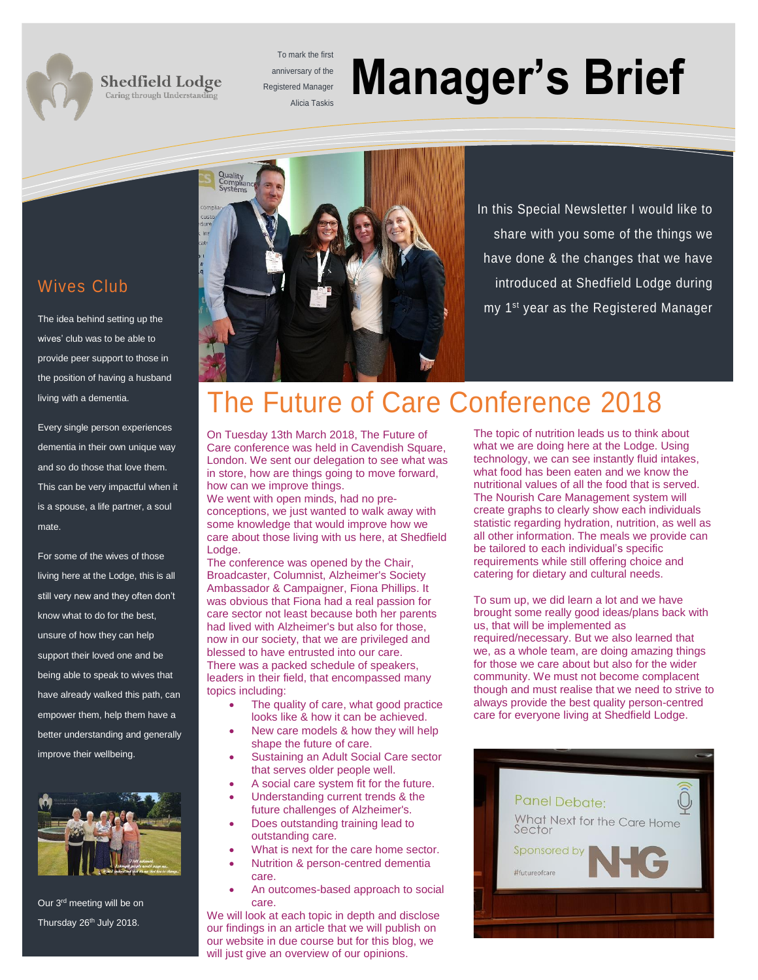#### **Shedfield Lodge** Caring through Understanding

To mark the first anniversary of the Registered Manager

# **Alicia Taskis Manager's Brief**

#### Wives Club

The idea behind setting up the wives' club was to be able to provide peer support to those in the position of having a husband living with a dementia.

Every single person experiences dementia in their own unique way and so do those that love them. This can be very impactful when it is a spouse, a life partner, a soul mate.

For some of the wives of those living here at the Lodge, this is all still very new and they often don't know what to do for the best, unsure of how they can help support their loved one and be being able to speak to wives that have already walked this path, can empower them, help them have a better understanding and generally improve their wellbeing.



Our 3rd meeting will be on Thursday 26<sup>th</sup> July 2018.



In this Special Newsletter I would like to share with you some of the things we have done & the changes that we have introduced at Shedfield Lodge during my 1<sup>st</sup> year as the Registered Manager

## The Future of Care Conference 2018

On Tuesday 13th March 2018, The Future of Care conference was held in Cavendish Square, London. We sent our delegation to see what was in store, how are things going to move forward, how can we improve things.

We went with open minds, had no preconceptions, we just wanted to walk away with some knowledge that would improve how we care about those living with us here, at Shedfield Lodge.

The conference was opened by the Chair, Broadcaster, Columnist, Alzheimer's Society Ambassador & Campaigner, Fiona Phillips. It was obvious that Fiona had a real passion for care sector not least because both her parents had lived with Alzheimer's but also for those, now in our society, that we are privileged and blessed to have entrusted into our care. There was a packed schedule of speakers, leaders in their field, that encompassed many topics including:

- The quality of care, what good practice looks like & how it can be achieved.
- New care models & how they will help shape the future of care.
- Sustaining an Adult Social Care sector that serves older people well.
- A social care system fit for the future.
- Understanding current trends & the future challenges of Alzheimer's.
- Does outstanding training lead to outstanding care.
- What is next for the care home sector.
- Nutrition & person-centred dementia care.
- An outcomes-based approach to social care.

We will look at each topic in depth and disclose our findings in an article that we will publish on our website in due course but for this blog, we will just give an overview of our opinions.

The topic of nutrition leads us to think about what we are doing here at the Lodge. Using technology, we can see instantly fluid intakes, what food has been eaten and we know the nutritional values of all the food that is served. The Nourish Care Management system will create graphs to clearly show each individuals statistic regarding hydration, nutrition, as well as all other information. The meals we provide can be tailored to each individual's specific requirements while still offering choice and catering for dietary and cultural needs.

To sum up, we did learn a lot and we have brought some really good ideas/plans back with us, that will be implemented as required/necessary. But we also learned that we, as a whole team, are doing amazing things for those we care about but also for the wider community. We must not become complacent though and must realise that we need to strive to always provide the best quality person-centred care for everyone living at Shedfield Lodge.

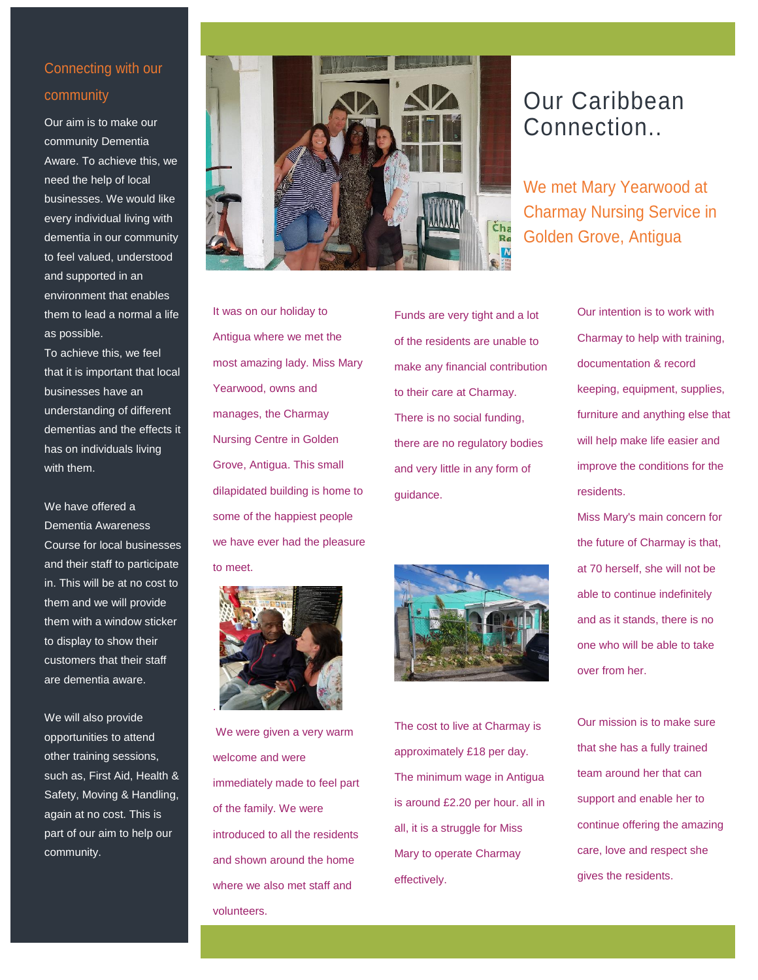#### Connecting with our community

Our aim is to make our community Dementia Aware. To achieve this, we need the help of local businesses. We would like every individual living with dementia in our community to feel valued, understood and supported in an environment that enables them to lead a normal a life as possible.

To achieve this, we feel that it is important that local businesses have an understanding of different dementias and the effects it has on individuals living with them.

We have offered a Dementia Awareness Course for local businesses and their staff to participate in. This will be at no cost to them and we will provide them with a window sticker to display to show their customers that their staff are dementia aware.

We will also provide opportunities to attend other training sessions, such as, First Aid, Health & Safety, Moving & Handling, again at no cost. This is part of our aim to help our community.



It was on our holiday to Antigua where we met the most amazing lady. Miss Mary Yearwood, owns and manages, the Charmay Nursing Centre in Golden Grove, Antigua. This small dilapidated building is home to some of the happiest people we have ever had the pleasure to meet.



We were given a very warm welcome and were immediately made to feel part of the family. We were introduced to all the residents and shown around the home where we also met staff and volunteers.

Funds are very tight and a lot of the residents are unable to make any financial contribution to their care at Charmay. There is no social funding, there are no regulatory bodies and very little in any form of guidance.



The cost to live at Charmay is approximately £18 per day. The minimum wage in Antigua is around £2.20 per hour. all in all, it is a struggle for Miss Mary to operate Charmay effectively.

## Our Caribbean Connection..

We met Mary Yearwood at Charmay Nursing Service in Golden Grove, Antigua

> Our intention is to work with Charmay to help with training, documentation & record keeping, equipment, supplies, furniture and anything else that will help make life easier and improve the conditions for the residents.

Miss Mary's main concern for the future of Charmay is that, at 70 herself, she will not be able to continue indefinitely and as it stands, there is no one who will be able to take over from her.

Our mission is to make sure that she has a fully trained team around her that can support and enable her to continue offering the amazing care, love and respect she gives the residents.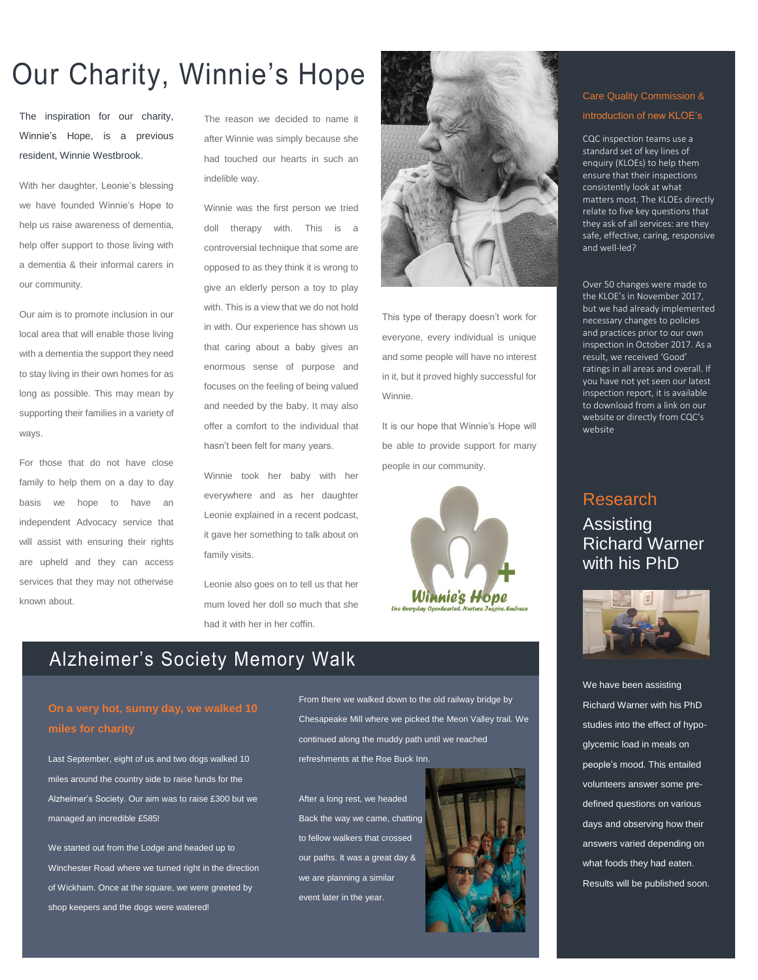## Our Charity, Winnie's Hope

The inspiration for our charity, Winnie's Hope, is a previous resident, Winnie Westbrook.

With her daughter, Leonie's blessing we have founded Winnie's Hope to help us raise awareness of dementia, help offer support to those living with a dementia & their informal carers in our community.

Our aim is to promote inclusion in our local area that will enable those living with a dementia the support they need to stay living in their own homes for as long as possible. This may mean by supporting their families in a variety of ways.

For those that do not have close family to help them on a day to day basis we hope to have an independent Advocacy service that will assist with ensuring their rights are upheld and they can access services that they may not otherwise known about.

The reason we decided to name it after Winnie was simply because she had touched our hearts in such an indelible way.

Winnie was the first person we tried doll therapy with. This is a controversial technique that some are opposed to as they think it is wrong to give an elderly person a toy to play with. This is a view that we do not hold in with. Our experience has shown us that caring about a baby gives an enormous sense of purpose and focuses on the feeling of being valued and needed by the baby. It may also offer a comfort to the individual that hasn't been felt for many years.

Winnie took her baby with her everywhere and as her daughter Leonie explained in a recent podcast, it gave her something to talk about on family visits.

Leonie also goes on to tell us that her mum loved her doll so much that she had it with her in her coffin.



This type of therapy doesn't work for everyone, every individual is unique and some people will have no interest in it, but it proved highly successful for Winnie.

It is our hope that Winnie's Hope will be able to provide support for many people in our community.



### Alzheimer's Society Memory Walk

Last September, eight of us and two dogs walked 10 miles around the country side to raise funds for the Alzheimer's Society. Our aim was to raise £300 but we managed an incredible £585!

We started out from the Lodge and headed up to Winchester Road where we turned right in the direction of Wickham. Once at the square, we were greeted by shop keepers and the dogs were watered!

From there we walked down to the old railway bridge by Chesapeake Mill where we picked the Meon Valley trail. We continued along the muddy path until we reached refreshments at the Roe Buck Inn.

After a long rest, we headed Back the way we came, chatting to fellow walkers that crossed our paths. It was a great day & we are planning a similar event later in the year.



#### Care Quality Commission & introduction of new KLOE's

CQC inspection teams use a standard set of key lines of enquiry (KLOEs) to help them ensure that their inspections consistently look at what matters most. The KLOEs directly relate to five key questions that they ask of all services: are they safe, effective, caring, responsive and well-led?

Over 50 changes were made to the KLOE's in November 2017, but we had already implemented necessary changes to policies and practices prior to our own inspection in October 2017. As a result, we received 'Good' ratings in all areas and overall. If you have not yet seen our latest inspection report, it is available to download from a link on our website or directly from CQC's website

#### Research Assisting Richard Warner with his PhD



We have been assisting Richard Warner with his PhD studies into the effect of hypoglycemic load in meals on people's mood. This entailed volunteers answer some predefined questions on various days and observing how their answers varied depending on what foods they had eaten. Results will be published soon.